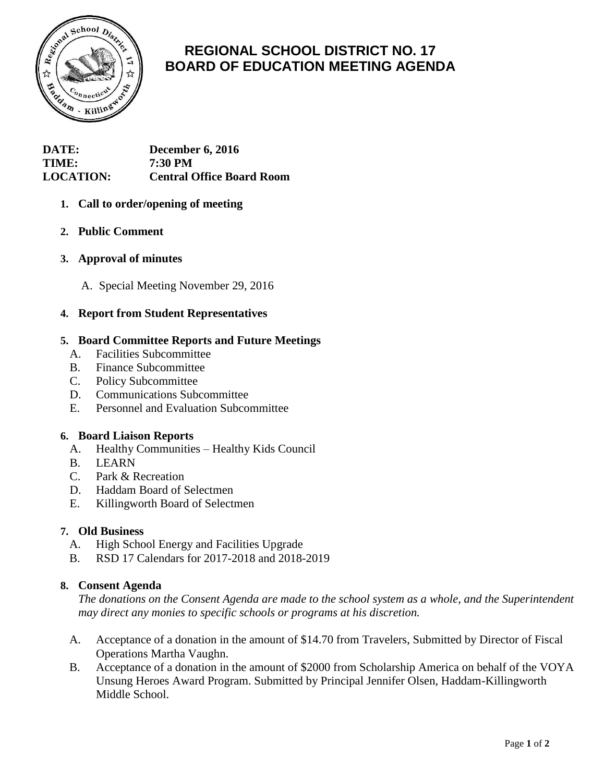

# **REGIONAL SCHOOL DISTRICT NO. 17 BOARD OF EDUCATION MEETING AGENDA**

**DATE: December 6, 2016 TIME: 7:30 PM LOCATION: Central Office Board Room**

# **1. Call to order/opening of meeting**

**2. Public Comment**

## **3. Approval of minutes**

A. Special Meeting November 29, 2016

## **4. Report from Student Representatives**

## **5. Board Committee Reports and Future Meetings**

- A. Facilities Subcommittee
- B. Finance Subcommittee
- C. Policy Subcommittee
- D. Communications Subcommittee
- E. Personnel and Evaluation Subcommittee

## **6. Board Liaison Reports**

- A. Healthy Communities Healthy Kids Council
- B. LEARN
- C. Park & Recreation
- D. Haddam Board of Selectmen
- E. Killingworth Board of Selectmen

## **7. Old Business**

- A. High School Energy and Facilities Upgrade
- B. RSD 17 Calendars for 2017-2018 and 2018-2019

# **8. Consent Agenda**

*The donations on the Consent Agenda are made to the school system as a whole, and the Superintendent may direct any monies to specific schools or programs at his discretion.*

- A. Acceptance of a donation in the amount of \$14.70 from Travelers, Submitted by Director of Fiscal Operations Martha Vaughn.
- B. Acceptance of a donation in the amount of \$2000 from Scholarship America on behalf of the VOYA Unsung Heroes Award Program. Submitted by Principal Jennifer Olsen, Haddam-Killingworth Middle School.